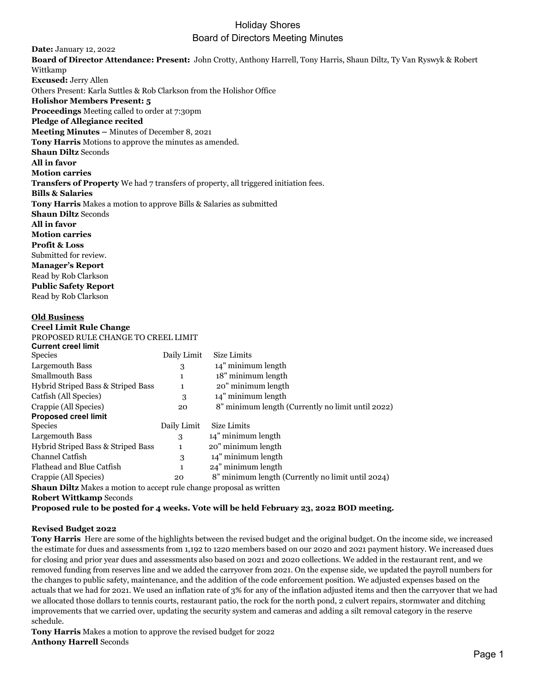## Holiday Shores Board of Directors Meeting Minutes

**Date:** January 12, 2022 **Board of Director Attendance: Present:** John Crotty, Anthony Harrell, Tony Harris, Shaun Diltz, Ty Van Ryswyk & Robert Wittkamp **Excused:** Jerry Allen Others Present: Karla Suttles & Rob Clarkson from the Holishor Office **Holishor Members Present: 5 Proceedings** Meeting called to order at 7:30pm **Pledge of Allegiance recited Meeting Minutes –** Minutes of December 8, 2021 **Tony Harris** Motions to approve the minutes as amended. **Shaun Diltz** Seconds **All in favor Motion carries Transfers of Property** We had 7 transfers of property, all triggered initiation fees. **Bills & Salaries Tony Harris** Makes a motion to approve Bills & Salaries as submitted **Shaun Diltz** Seconds **All in favor Motion carries Profit & Loss** Submitted for review. **Manager's Report** Read by Rob Clarkson **Public Safety Report** Read by Rob Clarkson

## **Old Business**

| <b>Creel Limit Rule Change</b>                                              |             |                                                   |
|-----------------------------------------------------------------------------|-------------|---------------------------------------------------|
| PROPOSED RULE CHANGE TO CREEL LIMIT                                         |             |                                                   |
| <b>Current creel limit</b>                                                  |             |                                                   |
| <b>Species</b>                                                              | Daily Limit | Size Limits                                       |
| Largemouth Bass                                                             | 3           | 14" minimum length                                |
| <b>Smallmouth Bass</b>                                                      | 1           | 18" minimum length                                |
| Hybrid Striped Bass & Striped Bass                                          | 1           | 20" minimum length                                |
| Catfish (All Species)                                                       | 3           | 14" minimum length                                |
| Crappie (All Species)                                                       | 20          | 8" minimum length (Currently no limit until 2022) |
| <b>Proposed creel limit</b>                                                 |             |                                                   |
| <b>Species</b>                                                              | Daily Limit | Size Limits                                       |
| Largemouth Bass                                                             | 3           | 14" minimum length                                |
| Hybrid Striped Bass & Striped Bass                                          | 1           | 20" minimum length                                |
| Channel Catfish                                                             | 3           | 14" minimum length                                |
| Flathead and Blue Catfish                                                   | 1           | 24" minimum length                                |
| Crappie (All Species)                                                       | 20          | 8" minimum length (Currently no limit until 2024) |
| <b>Shaun Diltz</b> Makes a motion to accept rule change proposal as written |             |                                                   |

**Robert Wittkamp** Seconds

**Proposed rule to be posted for 4 weeks. Vote will be held February 23, 2022 BOD meeting.**

#### **Revised Budget 2022**

**Tony Harris** Here are some of the highlights between the revised budget and the original budget. On the income side, we increased the estimate for dues and assessments from 1,192 to 1220 members based on our 2020 and 2021 payment history. We increased dues for closing and prior year dues and assessments also based on 2021 and 2020 collections. We added in the restaurant rent, and we removed funding from reserves line and we added the carryover from 2021. On the expense side, we updated the payroll numbers for the changes to public safety, maintenance, and the addition of the code enforcement position. We adjusted expenses based on the actuals that we had for 2021. We used an inflation rate of 3% for any of the inflation adjusted items and then the carryover that we had we allocated those dollars to tennis courts, restaurant patio, the rock for the north pond, 2 culvert repairs, stormwater and ditching improvements that we carried over, updating the security system and cameras and adding a silt removal category in the reserve schedule.

**Tony Harris** Makes a motion to approve the revised budget for 2022 **Anthony Harrell** Seconds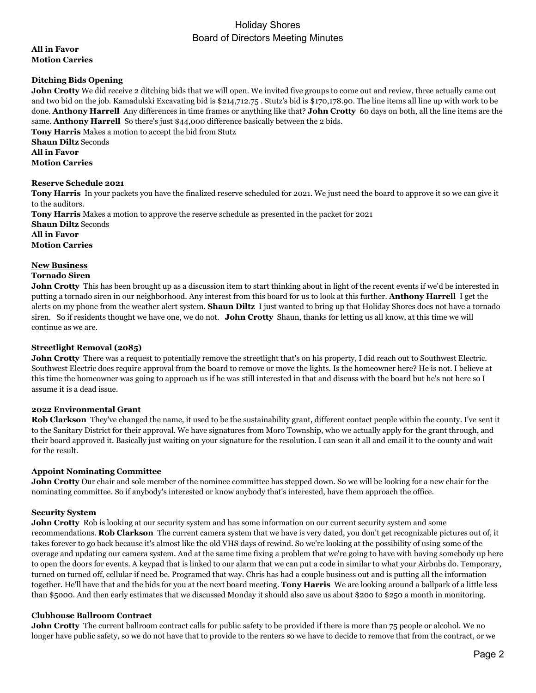# Holiday Shores Board of Directors Meeting Minutes

**All in Favor Motion Carries**

## **Ditching Bids Opening**

**John Crotty** We did receive 2 ditching bids that we will open. We invited five groups to come out and review, three actually came out and two bid on the job. Kamadulski Excavating bid is \$214,712.75 . Stutz's bid is \$170,178.90. The line items all line up with work to be done. **Anthony Harrell** Any differences in time frames or anything like that? **John Crotty** 60 days on both, all the line items are the same. **Anthony Harrell** So there's just \$44,000 difference basically between the 2 bids.

**Tony Harris** Makes a motion to accept the bid from Stutz **Shaun Diltz** Seconds **All in Favor Motion Carries**

## **Reserve Schedule 2021**

**Tony Harris** In your packets you have the finalized reserve scheduled for 2021. We just need the board to approve it so we can give it to the auditors.

**Tony Harris** Makes a motion to approve the reserve schedule as presented in the packet for 2021 **Shaun Diltz** Seconds **All in Favor Motion Carries**

## **New Business Tornado Siren**

**John Crotty** This has been brought up as a discussion item to start thinking about in light of the recent events if we'd be interested in putting a tornado siren in our neighborhood. Any interest from this board for us to look at this further. **Anthony Harrell** I get the alerts on my phone from the weather alert system. **Shaun Diltz** I just wanted to bring up that Holiday Shores does not have a tornado siren. So if residents thought we have one, we do not. **John Crotty** Shaun, thanks for letting us all know, at this time we will continue as we are.

## **Streetlight Removal (2085)**

**John Crotty** There was a request to potentially remove the streetlight that's on his property, I did reach out to Southwest Electric. Southwest Electric does require approval from the board to remove or move the lights. Is the homeowner here? He is not. I believe at this time the homeowner was going to approach us if he was still interested in that and discuss with the board but he's not here so I assume it is a dead issue.

## **2022 Environmental Grant**

**Rob Clarkson** They've changed the name, it used to be the sustainability grant, different contact people within the county. I've sent it to the Sanitary District for their approval. We have signatures from Moro Township, who we actually apply for the grant through, and their board approved it. Basically just waiting on your signature for the resolution. I can scan it all and email it to the county and wait for the result.

## **Appoint Nominating Committee**

**John Crotty** Our chair and sole member of the nominee committee has stepped down. So we will be looking for a new chair for the nominating committee. So if anybody's interested or know anybody that's interested, have them approach the office.

#### **Security System**

**John Crotty** Rob is looking at our security system and has some information on our current security system and some recommendations. **Rob Clarkson** The current camera system that we have is very dated, you don't get recognizable pictures out of, it takes forever to go back because it's almost like the old VHS days of rewind. So we're looking at the possibility of using some of the overage and updating our camera system. And at the same time fixing a problem that we're going to have with having somebody up here to open the doors for events. A keypad that is linked to our alarm that we can put a code in similar to what your Airbnbs do. Temporary, turned on turned off, cellular if need be. Programed that way. Chris has had a couple business out and is putting all the information together. He'll have that and the bids for you at the next board meeting. **Tony Harris** We are looking around a ballpark of a little less than \$5000. And then early estimates that we discussed Monday it should also save us about \$200 to \$250 a month in monitoring.

#### **Clubhouse Ballroom Contract**

**John Crotty** The current ballroom contract calls for public safety to be provided if there is more than 75 people or alcohol. We no longer have public safety, so we do not have that to provide to the renters so we have to decide to remove that from the contract, or we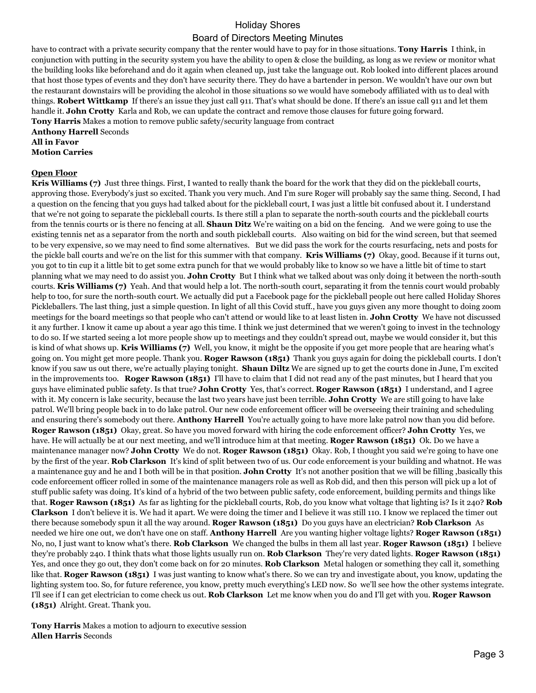## Holiday Shores

## Board of Directors Meeting Minutes

have to contract with a private security company that the renter would have to pay for in those situations. **Tony Harris** I think, in conjunction with putting in the security system you have the ability to open & close the building, as long as we review or monitor what the building looks like beforehand and do it again when cleaned up, just take the language out. Rob looked into different places around that host those types of events and they don't have security there. They do have a bartender in person. We wouldn't have our own but the restaurant downstairs will be providing the alcohol in those situations so we would have somebody affiliated with us to deal with things. **Robert Wittkamp** If there's an issue they just call 911. That's what should be done. If there's an issue call 911 and let them handle it. **John Crotty** Karla and Rob, we can update the contract and remove those clauses for future going forward. **Tony Harris** Makes a motion to remove public safety/security language from contract

**Anthony Harrell** Seconds **All in Favor Motion Carries**

#### **Open Floor**

**Kris Williams (7)** Just three things. First, I wanted to really thank the board for the work that they did on the pickleball courts, approving those. Everybody's just so excited. Thank you very much. And I'm sure Roger will probably say the same thing. Second, I had a question on the fencing that you guys had talked about for the pickleball court, I was just a little bit confused about it. I understand that we're not going to separate the pickleball courts. Is there still a plan to separate the north-south courts and the pickleball courts from the tennis courts or is there no fencing at all. **Shaun Ditz** We're waiting on a bid on the fencing. And we were going to use the existing tennis net as a separator from the north and south pickleball courts. Also waiting on bid for the wind screen, but that seemed to be very expensive, so we may need to find some alternatives. But we did pass the work for the courts resurfacing, nets and posts for the pickle ball courts and we're on the list for this summer with that company. **Kris Williams (7)** Okay, good. Because if it turns out, you got to tin cup it a little bit to get some extra punch for that we would probably like to know so we have a little bit of time to start planning what we may need to do assist you. **John Crotty** But I think what we talked about was only doing it between the north-south courts. **Kris Williams (7)** Yeah. And that would help a lot. The north-south court, separating it from the tennis court would probably help to too, for sure the north-south court. We actually did put a Facebook page for the pickleball people out here called Holiday Shores Pickleballers. The last thing, just a simple question. In light of all this Covid stuff., have you guys given any more thought to doing zoom meetings for the board meetings so that people who can't attend or would like to at least listen in. **John Crotty** We have not discussed it any further. I know it came up about a year ago this time. I think we just determined that we weren't going to invest in the technology to do so. If we started seeing a lot more people show up to meetings and they couldn't spread out, maybe we would consider it, but this is kind of what shows up. **Kris Williams (7)** Well, you know, it might be the opposite if you get more people that are hearing what's going on. You might get more people. Thank you. **Roger Rawson (1851)** Thank you guys again for doing the pickleball courts. I don't know if you saw us out there, we're actually playing tonight. **Shaun Diltz** We are signed up to get the courts done in June, I'm excited in the improvements too. **Roger Rawson (1851)** I'll have to claim that I did not read any of the past minutes, but I heard that you guys have eliminated public safety. Is that true? **John Crotty** Yes, that's correct. **Roger Rawson (1851)** I understand, and I agree with it. My concern is lake security, because the last two years have just been terrible. **John Crotty** We are still going to have lake patrol. We'll bring people back in to do lake patrol. Our new code enforcement officer will be overseeing their training and scheduling and ensuring there's somebody out there. **Anthony Harrell** You're actually going to have more lake patrol now than you did before. **Roger Rawson (1851)** Okay, great. So have you moved forward with hiring the code enforcement officer? **John Crotty** Yes, we have. He will actually be at our next meeting, and we'll introduce him at that meeting. **Roger Rawson (1851)** Ok. Do we have a maintenance manager now? **John Crotty** We do not. **Roger Rawson (1851)** Okay. Rob, I thought you said we're going to have one by the first of the year. **Rob Clarkson** It's kind of split between two of us. Our code enforcement is your building and whatnot. He was a maintenance guy and he and I both will be in that position. **John Crotty** It's not another position that we will be filling ,basically this code enforcement officer rolled in some of the maintenance managers role as well as Rob did, and then this person will pick up a lot of stuff public safety was doing. It's kind of a hybrid of the two between public safety, code enforcement, building permits and things like that. **Roger Rawson (1851)** As far as lighting for the pickleball courts, Rob, do you know what voltage that lighting is? Is it 240? **Rob Clarkson** I don't believe it is. We had it apart. We were doing the timer and I believe it was still 110. I know we replaced the timer out there because somebody spun it all the way around. **Roger Rawson (1851)** Do you guys have an electrician? **Rob Clarkson** As needed we hire one out, we don't have one on staff. **Anthony Harrell** Are you wanting higher voltage lights? **Roger Rawson (1851)** No, no, I just want to know what's there. **Rob Clarkson** We changed the bulbs in them all last year. **Roger Rawson (1851)** I believe they're probably 240. I think thats what those lights usually run on. **Rob Clarkson** They're very dated lights. **Roger Rawson (1851)** Yes, and once they go out, they don't come back on for 20 minutes. **Rob Clarkson** Metal halogen or something they call it, something like that. **Roger Rawson (1851)** I was just wanting to know what's there. So we can try and investigate about, you know, updating the lighting system too. So, for future reference, you know, pretty much everything's LED now. So we'll see how the other systems integrate. I'll see if I can get electrician to come check us out. **Rob Clarkson** Let me know when you do and I'll get with you. **Roger Rawson (1851)** Alright. Great. Thank you.

**Tony Harris** Makes a motion to adjourn to executive session **Allen Harris** Seconds